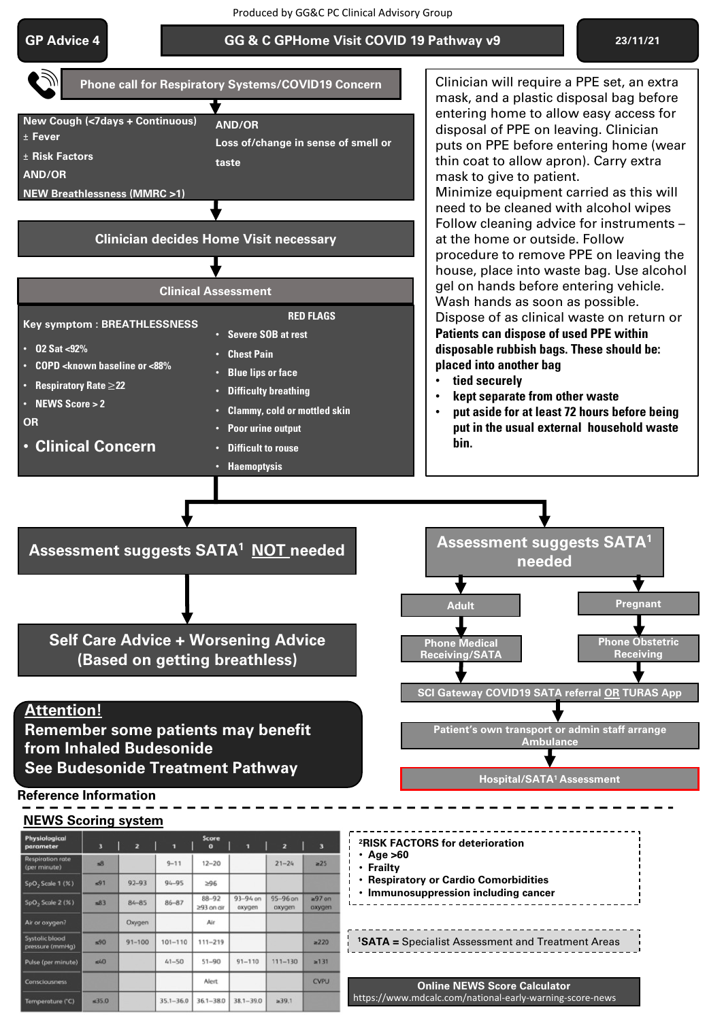Produced by GG&C PC Clinical Advisory Group

### **GP Advice 4**

 $350$ 

ature (°C)

 $35.1 - 36.0$   $36.1 - 38.0$   $38.1 - 39.0$ 

 $239.1$ 

#### **GG & C GPHome Visit COVID 19 Pathway v9 23/11/21**



https://www.mdcalc.com/national-early-warning-score-news